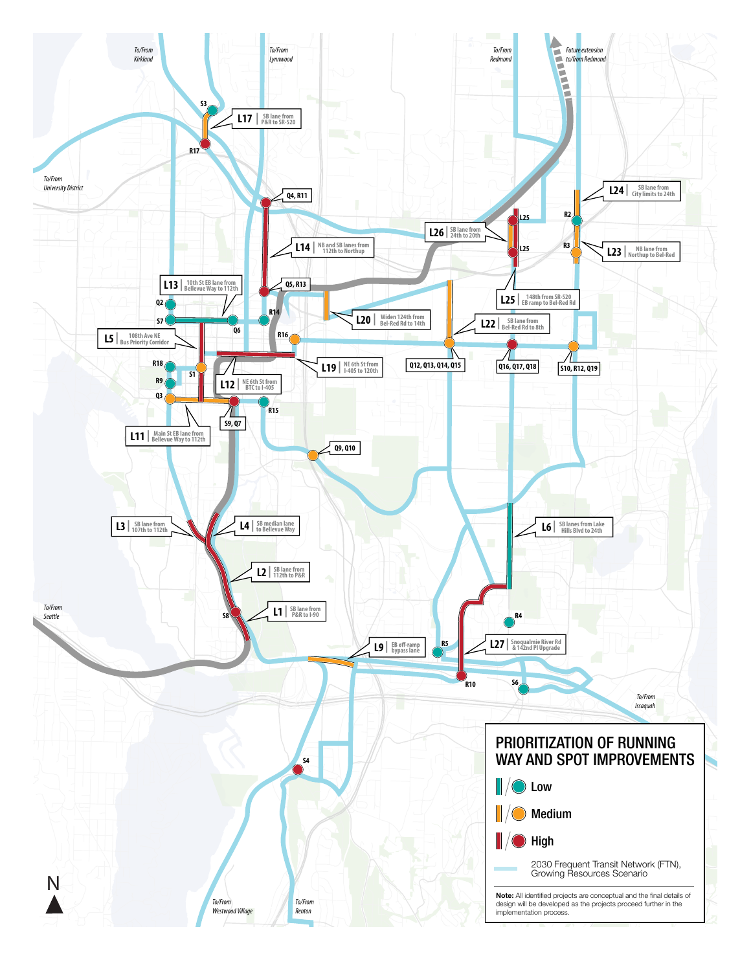